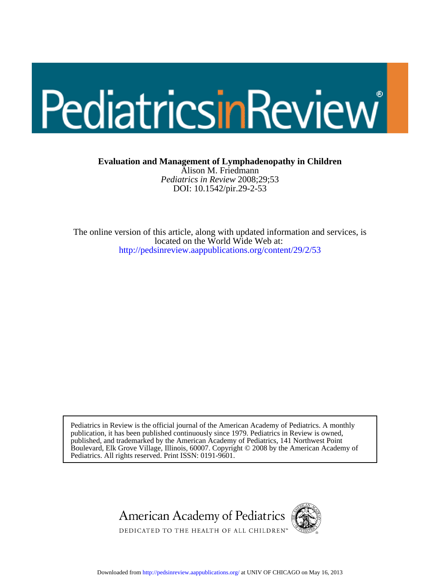

**Evaluation and Management of Lymphadenopathy in Children**

DOI: 10.1542/pir.29-2-53 *Pediatrics in Review* 2008;29;53 Alison M. Friedmann

<http://pedsinreview.aappublications.org/content/29/2/53> located on the World Wide Web at: The online version of this article, along with updated information and services, is

Pediatrics. All rights reserved. Print ISSN: 0191-9601. Boulevard, Elk Grove Village, Illinois, 60007. Copyright © 2008 by the American Academy of published, and trademarked by the American Academy of Pediatrics, 141 Northwest Point publication, it has been published continuously since 1979. Pediatrics in Review is owned, Pediatrics in Review is the official journal of the American Academy of Pediatrics. A monthly

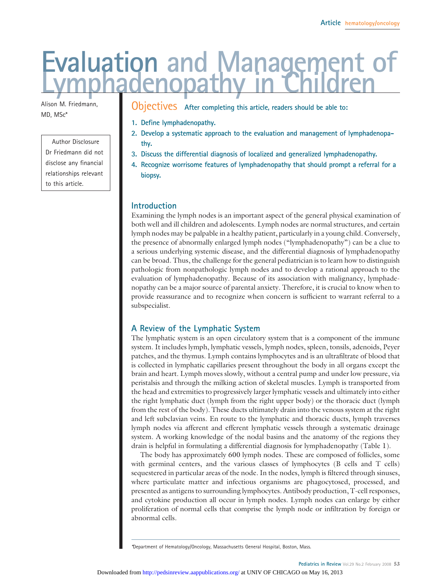# **Evaluation and Manager**

Alison M. Friedmann, MD, MSc\*

Objectives **After completing this article, readers should be able to:**

- **1. Define lymphadenopathy.**
- **2. Develop a systematic approach to the evaluation and management of lymphadenopathy.**
- **3. Discuss the differential diagnosis of localized and generalized lymphadenopathy.**
- **4. Recognize worrisome features of lymphadenopathy that should prompt a referral for a biopsy.**

#### **Introduction**

Examining the lymph nodes is an important aspect of the general physical examination of both well and ill children and adolescents. Lymph nodes are normal structures, and certain lymph nodes may be palpable in a healthy patient, particularly in a young child. Conversely, the presence of abnormally enlarged lymph nodes ("lymphadenopathy") can be a clue to a serious underlying systemic disease, and the differential diagnosis of lymphadenopathy can be broad. Thus, the challenge for the general pediatrician is to learn how to distinguish pathologic from nonpathologic lymph nodes and to develop a rational approach to the evaluation of lymphadenopathy. Because of its association with malignancy, lymphadenopathy can be a major source of parental anxiety. Therefore, it is crucial to know when to provide reassurance and to recognize when concern is sufficient to warrant referral to a subspecialist.

#### **A Review of the Lymphatic System**

The lymphatic system is an open circulatory system that is a component of the immune system. It includes lymph, lymphatic vessels, lymph nodes, spleen, tonsils, adenoids, Peyer patches, and the thymus. Lymph contains lymphocytes and is an ultrafiltrate of blood that is collected in lymphatic capillaries present throughout the body in all organs except the brain and heart. Lymph moves slowly, without a central pump and under low pressure, via peristalsis and through the milking action of skeletal muscles. Lymph is transported from the head and extremities to progressively larger lymphatic vessels and ultimately into either the right lymphatic duct (lymph from the right upper body) or the thoracic duct (lymph from the rest of the body). These ducts ultimately drain into the venous system at the right and left subclavian veins. En route to the lymphatic and thoracic ducts, lymph traverses lymph nodes via afferent and efferent lymphatic vessels through a systematic drainage system. A working knowledge of the nodal basins and the anatomy of the regions they drain is helpful in formulating a differential diagnosis for lymphadenopathy (Table 1).

The body has approximately 600 lymph nodes. These are composed of follicles, some with germinal centers, and the various classes of lymphocytes (B cells and T cells) sequestered in particular areas of the node. In the nodes, lymph is filtered through sinuses, where particulate matter and infectious organisms are phagocytosed, processed, and presented as antigens to surrounding lymphocytes. Antibody production, T-cell responses, and cytokine production all occur in lymph nodes. Lymph nodes can enlarge by either proliferation of normal cells that comprise the lymph node or infiltration by foreign or abnormal cells.

*\**Department of Hematology/Oncology, Massachusetts General Hospital, Boston, Mass.

Author Disclosure Dr Friedmann did not disclose any financial relationships relevant to this article.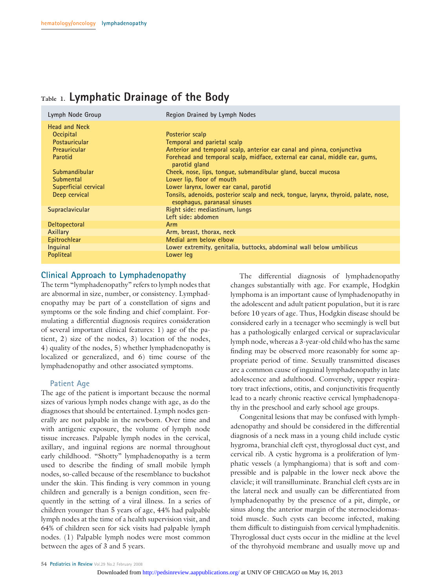## **Table 1. Lymphatic Drainage of the Body**

| Lymph Node Group     | Region Drained by Lymph Nodes                                                                                       |
|----------------------|---------------------------------------------------------------------------------------------------------------------|
| <b>Head and Neck</b> |                                                                                                                     |
| <b>Occipital</b>     | Posterior scalp                                                                                                     |
| Postauricular        | Temporal and parietal scalp                                                                                         |
| Preauricular         | Anterior and temporal scalp, anterior ear canal and pinna, conjunctiva                                              |
| Parotid              | Forehead and temporal scalp, midface, external ear canal, middle ear, gums,<br>parotid gland                        |
| Submandibular        | Cheek, nose, lips, tonque, submandibular gland, buccal mucosa                                                       |
| Submental            | Lower lip, floor of mouth                                                                                           |
| Superficial cervical | Lower larynx, lower ear canal, parotid                                                                              |
| Deep cervical        | Tonsils, adenoids, posterior scalp and neck, tonque, larynx, thyroid, palate, nose,<br>esophagus, paranasal sinuses |
| Supraclavicular      | Right side: mediastinum, lungs                                                                                      |
|                      | Left side: abdomen                                                                                                  |
| <b>Deltopectoral</b> | Arm                                                                                                                 |
| <b>Axillary</b>      | Arm, breast, thorax, neck                                                                                           |
| Epitrochlear         | Medial arm below elbow                                                                                              |
| Inquinal             | Lower extremity, genitalia, buttocks, abdominal wall below umbilicus                                                |
| Popliteal            | Lower leg                                                                                                           |

#### **Clinical Approach to Lymphadenopathy**

The term "lymphadenopathy" refers to lymph nodes that are abnormal in size, number, or consistency. Lymphadenopathy may be part of a constellation of signs and symptoms or the sole finding and chief complaint. Formulating a differential diagnosis requires consideration of several important clinical features: 1) age of the patient, 2) size of the nodes, 3) location of the nodes, 4) quality of the nodes, 5) whether lymphadenopathy is localized or generalized, and 6) time course of the lymphadenopathy and other associated symptoms.

#### **Patient Age**

The age of the patient is important because the normal sizes of various lymph nodes change with age, as do the diagnoses that should be entertained. Lymph nodes generally are not palpable in the newborn. Over time and with antigenic exposure, the volume of lymph node tissue increases. Palpable lymph nodes in the cervical, axillary, and inguinal regions are normal throughout early childhood. "Shotty" lymphadenopathy is a term used to describe the finding of small mobile lymph nodes, so-called because of the resemblance to buckshot under the skin. This finding is very common in young children and generally is a benign condition, seen frequently in the setting of a viral illness. In a series of children younger than 5 years of age, 44% had palpable lymph nodes at the time of a health supervision visit, and 64% of children seen for sick visits had palpable lymph nodes. (1) Palpable lymph nodes were most common between the ages of 3 and 5 years.

The differential diagnosis of lymphadenopathy changes substantially with age. For example, Hodgkin lymphoma is an important cause of lymphadenopathy in the adolescent and adult patient population, but it is rare before 10 years of age. Thus, Hodgkin disease should be considered early in a teenager who seemingly is well but has a pathologically enlarged cervical or supraclavicular lymph node, whereas a 3-year-old child who has the same finding may be observed more reasonably for some appropriate period of time. Sexually transmitted diseases are a common cause of inguinal lymphadenopathy in late adolescence and adulthood. Conversely, upper respiratory tract infections, otitis, and conjunctivitis frequently lead to a nearly chronic reactive cervical lymphadenopathy in the preschool and early school age groups.

Congenital lesions that may be confused with lymphadenopathy and should be considered in the differential diagnosis of a neck mass in a young child include cystic hygroma, branchial cleft cyst, thyroglossal duct cyst, and cervical rib. A cystic hygroma is a proliferation of lymphatic vessels (a lymphangioma) that is soft and compressible and is palpable in the lower neck above the clavicle; it will transilluminate. Branchial cleft cysts are in the lateral neck and usually can be differentiated from lymphadenopathy by the presence of a pit, dimple, or sinus along the anterior margin of the sternocleidomastoid muscle. Such cysts can become infected, making them difficult to distinguish from cervical lymphadenitis. Thyroglossal duct cysts occur in the midline at the level of the thyrohyoid membrane and usually move up and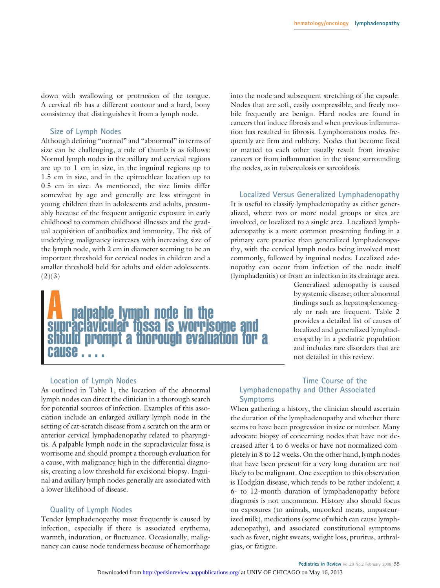down with swallowing or protrusion of the tongue. A cervical rib has a different contour and a hard, bony consistency that distinguishes it from a lymph node.

#### **Size of Lymph Nodes**

Although defining "normal" and "abnormal" in terms of size can be challenging, a rule of thumb is as follows: Normal lymph nodes in the axillary and cervical regions are up to 1 cm in size, in the inguinal regions up to 1.5 cm in size, and in the epitrochlear location up to 0.5 cm in size. As mentioned, the size limits differ somewhat by age and generally are less stringent in young children than in adolescents and adults, presumably because of the frequent antigenic exposure in early childhood to common childhood illnesses and the gradual acquisition of antibodies and immunity. The risk of underlying malignancy increases with increasing size of the lymph node, with 2 cm in diameter seeming to be an important threshold for cervical nodes in children and a smaller threshold held for adults and older adolescents.  $(2)(3)$ 



into the node and subsequent stretching of the capsule. Nodes that are soft, easily compressible, and freely mobile frequently are benign. Hard nodes are found in cancers that induce fibrosis and when previous inflammation has resulted in fibrosis. Lymphomatous nodes frequently are firm and rubbery. Nodes that become fixed or matted to each other usually result from invasive cancers or from inflammation in the tissue surrounding the nodes, as in tuberculosis or sarcoidosis.

**Localized Versus Generalized Lymphadenopathy** It is useful to classify lymphadenopathy as either generalized, where two or more nodal groups or sites are involved, or localized to a single area. Localized lymphadenopathy is a more common presenting finding in a primary care practice than generalized lymphadenopathy, with the cervical lymph nodes being involved most commonly, followed by inguinal nodes. Localized adenopathy can occur from infection of the node itself (lymphadenitis) or from an infection in its drainage area.

> Generalized adenopathy is caused by systemic disease; other abnormal findings such as hepatosplenomegaly or rash are frequent. Table 2 provides a detailed list of causes of localized and generalized lymphadenopathy in a pediatric population and includes rare disorders that are not detailed in this review.

Pediatrics in Review Vol.29 No.2 February 2008 55

#### **Location of Lymph Nodes**

As outlined in Table 1, the location of the abnormal lymph nodes can direct the clinician in a thorough search for potential sources of infection. Examples of this association include an enlarged axillary lymph node in the setting of cat-scratch disease from a scratch on the arm or anterior cervical lymphadenopathy related to pharyngitis. A palpable lymph node in the supraclavicular fossa is worrisome and should prompt a thorough evaluation for a cause, with malignancy high in the differential diagnosis, creating a low threshold for excisional biopsy. Inguinal and axillary lymph nodes generally are associated with a lower likelihood of disease.

#### **Quality of Lymph Nodes**

Tender lymphadenopathy most frequently is caused by infection, especially if there is associated erythema, warmth, induration, or fluctuance. Occasionally, malignancy can cause node tenderness because of hemorrhage

#### **Time Course of the Lymphadenopathy and Other Associated Symptoms**

When gathering a history, the clinician should ascertain the duration of the lymphadenopathy and whether there seems to have been progression in size or number. Many advocate biopsy of concerning nodes that have not decreased after 4 to 6 weeks or have not normalized completely in 8 to 12 weeks. On the other hand, lymph nodes that have been present for a very long duration are not likely to be malignant. One exception to this observation is Hodgkin disease, which tends to be rather indolent; a 6- to 12-month duration of lymphadenopathy before diagnosis is not uncommon. History also should focus on exposures (to animals, uncooked meats, unpasteurized milk), medications (some of which can cause lymphadenopathy), and associated constitutional symptoms such as fever, night sweats, weight loss, pruritus, arthralgias, or fatigue.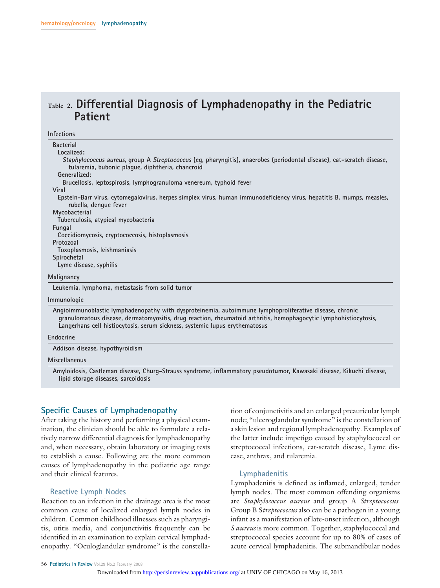# **Table 2. Differential Diagnosis of Lymphadenopathy in the Pediatric Patient**

**Infections**

**Bacterial**

**Localized:**

**Staphylococcus aureus, group A Streptococcus (eg, pharyngitis), anaerobes (periodontal disease), cat-scratch disease, tularemia, bubonic plague, diphtheria, chancroid**

**Generalized:**

**Brucellosis, leptospirosis, lymphogranuloma venereum, typhoid fever**

**Viral**

**Epstein-Barr virus, cytomegalovirus, herpes simplex virus, human immunodeficiency virus, hepatitis B, mumps, measles, rubella, dengue fever**

**Mycobacterial**

**Tuberculosis, atypical mycobacteria**

**Fungal**

**Coccidiomycosis, cryptococcosis, histoplasmosis**

**Protozoal**

**Toxoplasmosis, leishmaniasis Spirochetal**

**Lyme disease, syphilis**

#### **Malignancy**

**Leukemia, lymphoma, metastasis from solid tumor**

#### **Immunologic**

**Angioimmunoblastic lymphadenopathy with dysproteinemia, autoimmune lymphoproliferative disease, chronic granulomatous disease, dermatomyositis, drug reaction, rheumatoid arthritis, hemophagocytic lymphohistiocytosis, Langerhans cell histiocytosis, serum sickness, systemic lupus erythematosus**

#### **Endocrine**

**Addison disease, hypothyroidism**

#### **Miscellaneous**

**Amyloidosis, Castleman disease, Churg-Strauss syndrome, inflammatory pseudotumor, Kawasaki disease, Kikuchi disease, lipid storage diseases, sarcoidosis**

#### **Specific Causes of Lymphadenopathy**

After taking the history and performing a physical examination, the clinician should be able to formulate a relatively narrow differential diagnosis for lymphadenopathy and, when necessary, obtain laboratory or imaging tests to establish a cause. Following are the more common causes of lymphadenopathy in the pediatric age range and their clinical features.

#### **Reactive Lymph Nodes**

Reaction to an infection in the drainage area is the most common cause of localized enlarged lymph nodes in children. Common childhood illnesses such as pharyngitis, otitis media, and conjunctivitis frequently can be identified in an examination to explain cervical lymphadenopathy. "Oculoglandular syndrome" is the constellation of conjunctivitis and an enlarged preauricular lymph node; "ulceroglandular syndrome" is the constellation of a skin lesion and regional lymphadenopathy. Examples of the latter include impetigo caused by staphylococcal or streptococcal infections, cat-scratch disease, Lyme disease, anthrax, and tularemia.

#### **Lymphadenitis**

Lymphadenitis is defined as inflamed, enlarged, tender lymph nodes. The most common offending organisms are *Staphylococcus aureus* and group A *Streptococcus.* Group B S*treptococcus* also can be a pathogen in a young infant as a manifestation of late-onset infection, although *S aureus* is more common. Together, staphylococcal and streptococcal species account for up to 80% of cases of acute cervical lymphadenitis. The submandibular nodes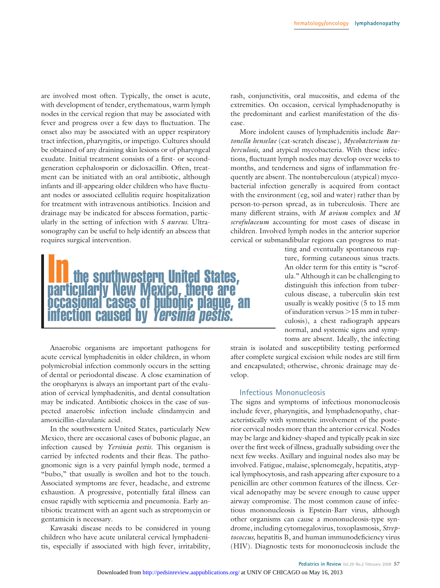are involved most often. Typically, the onset is acute, with development of tender, erythematous, warm lymph nodes in the cervical region that may be associated with fever and progress over a few days to fluctuation. The onset also may be associated with an upper respiratory tract infection, pharyngitis, or impetigo. Cultures should be obtained of any draining skin lesions or of pharyngeal exudate. Initial treatment consists of a first- or secondgeneration cephalosporin or dicloxacillin. Often, treatment can be initiated with an oral antibiotic, although infants and ill-appearing older children who have fluctuant nodes or associated cellulitis require hospitalization for treatment with intravenous antibiotics. Incision and drainage may be indicated for abscess formation, particularly in the setting of infection with *S aureus*. Ultrasonography can be useful to help identify an abscess that requires surgical intervention.

# western United States,<br>ew Mexico, there are<br>es of bubonic plague,<br>id by *Yersinia pestis*.

Anaerobic organisms are important pathogens for acute cervical lymphadenitis in older children, in whom polymicrobial infection commonly occurs in the setting of dental or periodontal disease. A close examination of the oropharynx is always an important part of the evaluation of cervical lymphadenitis, and dental consultation may be indicated. Antibiotic choices in the case of suspected anaerobic infection include clindamycin and amoxicillin-clavulanic acid.

In the southwestern United States, particularly New Mexico, there are occasional cases of bubonic plague, an infection caused by *Yersinia pestis*. This organism is carried by infected rodents and their fleas. The pathognomonic sign is a very painful lymph node, termed a "bubo," that usually is swollen and hot to the touch. Associated symptoms are fever, headache, and extreme exhaustion. A progressive, potentially fatal illness can ensue rapidly with septicemia and pneumonia. Early antibiotic treatment with an agent such as streptomycin or gentamicin is necessary.

Kawasaki disease needs to be considered in young children who have acute unilateral cervical lymphadenitis, especially if associated with high fever, irritability,

rash, conjunctivitis, oral mucositis, and edema of the extremities. On occasion, cervical lymphadenopathy is the predominant and earliest manifestation of the disease.

More indolent causes of lymphadenitis include *Bartonella henselae* (cat-scratch disease), *Mycobacterium tuberculosis*, and atypical mycobacteria. With these infections, fluctuant lymph nodes may develop over weeks to months, and tenderness and signs of inflammation frequently are absent. The nontuberculous (atypical) mycobacterial infection generally is acquired from contact with the environment (eg, soil and water) rather than by person-to-person spread, as in tuberculosis. There are many different strains, with *M avium* complex and *M scrofulaceum* accounting for most cases of disease in children. Involved lymph nodes in the anterior superior cervical or submandibular regions can progress to mat-

> ting and eventually spontaneous rupture, forming cutaneous sinus tracts. An older term for this entity is "scrofula." Although it can be challenging to distinguish this infection from tuberculous disease, a tuberculin skin test usually is weakly positive (5 to 15 mm of induration versus  $>15$  mm in tuberculosis), a chest radiograph appears normal, and systemic signs and symptoms are absent. Ideally, the infecting

strain is isolated and susceptibility testing performed after complete surgical excision while nodes are still firm and encapsulated; otherwise, chronic drainage may develop.

#### **Infectious Mononucleosis**

The signs and symptoms of infectious mononucleosis include fever, pharyngitis, and lymphadenopathy, characteristically with symmetric involvement of the posterior cervical nodes more than the anterior cervical. Nodes may be large and kidney-shaped and typically peak in size over the first week of illness, gradually subsiding over the next few weeks. Axillary and inguinal nodes also may be involved. Fatigue, malaise, splenomegaly, hepatitis, atypical lymphocytosis, and rash appearing after exposure to a penicillin are other common features of the illness. Cervical adenopathy may be severe enough to cause upper airway compromise. The most common cause of infectious mononucleosis is Epstein-Barr virus, although other organisms can cause a mononucleosis-type syndrome, including cytomegalovirus, toxoplasmosis, *Streptococcus,* hepatitis B, and human immunodeficiency virus (HIV). Diagnostic tests for mononucleosis include the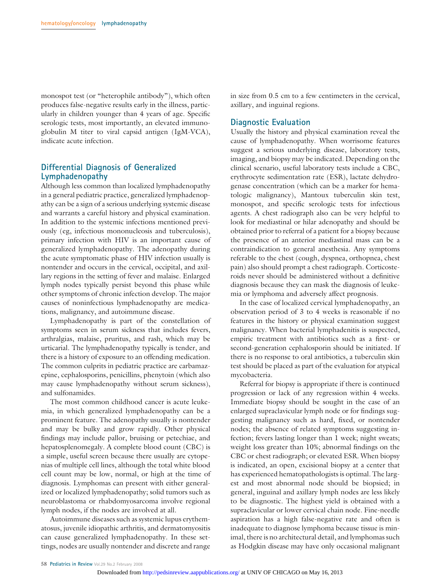monospot test (or "heterophile antibody"), which often produces false-negative results early in the illness, particularly in children younger than 4 years of age. Specific serologic tests, most importantly, an elevated immunoglobulin M titer to viral capsid antigen (IgM-VCA), indicate acute infection.

#### **Differential Diagnosis of Generalized Lymphadenopathy**

Although less common than localized lymphadenopathy in a general pediatric practice, generalized lymphadenopathy can be a sign of a serious underlying systemic disease and warrants a careful history and physical examination. In addition to the systemic infections mentioned previously (eg, infectious mononucleosis and tuberculosis), primary infection with HIV is an important cause of generalized lymphadenopathy. The adenopathy during the acute symptomatic phase of HIV infection usually is nontender and occurs in the cervical, occipital, and axillary regions in the setting of fever and malaise. Enlarged lymph nodes typically persist beyond this phase while other symptoms of chronic infection develop. The major causes of noninfectious lymphadenopathy are medications, malignancy, and autoimmune disease.

Lymphadenopathy is part of the constellation of symptoms seen in serum sickness that includes fevers, arthralgias, malaise, pruritus, and rash, which may be urticarial. The lymphadenopathy typically is tender, and there is a history of exposure to an offending medication. The common culprits in pediatric practice are carbamazepine, cephalosporins, penicillins, phenytoin (which also may cause lymphadenopathy without serum sickness), and sulfonamides.

The most common childhood cancer is acute leukemia, in which generalized lymphadenopathy can be a prominent feature. The adenopathy usually is nontender and may be bulky and grow rapidly. Other physical findings may include pallor, bruising or petechiae, and hepatosplenomegaly. A complete blood count (CBC) is a simple, useful screen because there usually are cytopenias of multiple cell lines, although the total white blood cell count may be low, normal, or high at the time of diagnosis. Lymphomas can present with either generalized or localized lymphadenopathy; solid tumors such as neuroblastoma or rhabdomyosarcoma involve regional lymph nodes, if the nodes are involved at all.

Autoimmune diseases such as systemic lupus erythematosus, juvenile idiopathic arthritis, and dermatomyositis can cause generalized lymphadenopathy. In these settings, nodes are usually nontender and discrete and range

in size from 0.5 cm to a few centimeters in the cervical, axillary, and inguinal regions.

#### **Diagnostic Evaluation**

Usually the history and physical examination reveal the cause of lymphadenopathy. When worrisome features suggest a serious underlying disease, laboratory tests, imaging, and biopsy may be indicated. Depending on the clinical scenario, useful laboratory tests include a CBC, erythrocyte sedimentation rate (ESR), lactate dehydrogenase concentration (which can be a marker for hematologic malignancy), Mantoux tuberculin skin test, monospot, and specific serologic tests for infectious agents. A chest radiograph also can be very helpful to look for mediastinal or hilar adenopathy and should be obtained prior to referral of a patient for a biopsy because the presence of an anterior mediastinal mass can be a contraindication to general anesthesia. Any symptoms referable to the chest (cough, dyspnea, orthopnea, chest pain) also should prompt a chest radiograph. Corticosteroids never should be administered without a definitive diagnosis because they can mask the diagnosis of leukemia or lymphoma and adversely affect prognosis.

In the case of localized cervical lymphadenopathy, an observation period of 3 to 4 weeks is reasonable if no features in the history or physical examination suggest malignancy. When bacterial lymphadenitis is suspected, empiric treatment with antibiotics such as a first- or second-generation cephalosporin should be initiated. If there is no response to oral antibiotics, a tuberculin skin test should be placed as part of the evaluation for atypical mycobacteria.

Referral for biopsy is appropriate if there is continued progression or lack of any regression within 4 weeks. Immediate biopsy should be sought in the case of an enlarged supraclavicular lymph node or for findings suggesting malignancy such as hard, fixed, or nontender nodes; the absence of related symptoms suggesting infection; fevers lasting longer than 1 week; night sweats; weight loss greater than 10%; abnormal findings on the CBC or chest radiograph; or elevated ESR. When biopsy is indicated, an open, excisional biopsy at a center that has experienced hematopathologists is optimal. The largest and most abnormal node should be biopsied; in general, inguinal and axillary lymph nodes are less likely to be diagnostic. The highest yield is obtained with a supraclavicular or lower cervical chain node. Fine-needle aspiration has a high false-negative rate and often is inadequate to diagnose lymphoma because tissue is minimal, there is no architectural detail, and lymphomas such as Hodgkin disease may have only occasional malignant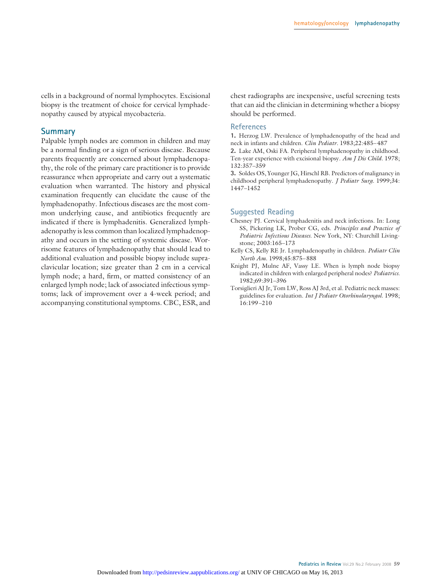cells in a background of normal lymphocytes. Excisional biopsy is the treatment of choice for cervical lymphadenopathy caused by atypical mycobacteria.

#### **Summary**

Palpable lymph nodes are common in children and may be a normal finding or a sign of serious disease. Because parents frequently are concerned about lymphadenopathy, the role of the primary care practitioner is to provide reassurance when appropriate and carry out a systematic evaluation when warranted. The history and physical examination frequently can elucidate the cause of the lymphadenopathy. Infectious diseases are the most common underlying cause, and antibiotics frequently are indicated if there is lymphadenitis. Generalized lymphadenopathy is less common than localized lymphadenopathy and occurs in the setting of systemic disease. Worrisome features of lymphadenopathy that should lead to additional evaluation and possible biopsy include supraclavicular location; size greater than 2 cm in a cervical lymph node; a hard, firm, or matted consistency of an enlarged lymph node; lack of associated infectious symptoms; lack of improvement over a 4-week period; and accompanying constitutional symptoms. CBC, ESR, and chest radiographs are inexpensive, useful screening tests that can aid the clinician in determining whether a biopsy should be performed.

#### **References**

**1.** Herzog LW. Prevalence of lymphadenopathy of the head and neck in infants and children. *Clin Pediatr.* 1983;22:485–487

**2.** Lake AM, Oski FA. Peripheral lymphadenopathy in childhood. Ten-year experience with excisional biopsy. *Am J Dis Child.* 1978; 132:357–359

**3.** Soldes OS, Younger JG, Hirschl RB. Predictors of malignancy in childhood peripheral lymphadenopathy. *J Pediatr Surg.* 1999;34: 1447–1452

#### **Suggested Reading**

- Chesney PJ. Cervical lymphadenitis and neck infections. In: Long SS, Pickering LK, Prober CG, eds. *Principles and Practice of Pediatric Infectious Diseases.* New York, NY: Churchill Livingstone; 2003:165–173
- Kelly CS, Kelly RE Jr. Lymphadenopathy in children. *Pediatr Clin North Am.* 1998;45:875–888
- Knight PJ, Mulne AF, Vassy LE. When is lymph node biopsy indicated in children with enlarged peripheral nodes? *Pediatrics.* 1982;69:391–396
- Torsiglieri AJ Jr, Tom LW, Ross AJ 3rd, et al. Pediatric neck masses: guidelines for evaluation. *Int J Pediatr Otorhinolaryngol.* 1998; 16:199–210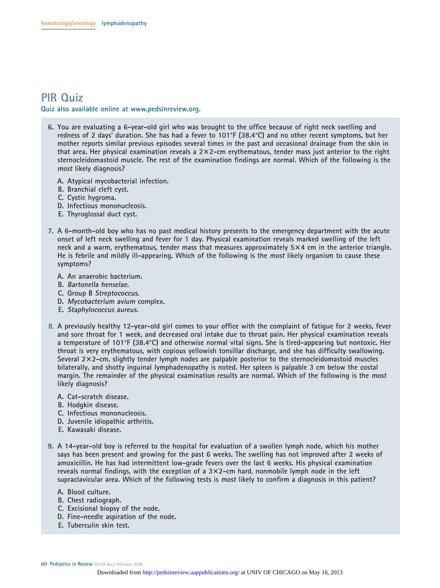### **PIR Quiz**

#### **Quiz also available online at www.pedsinreview.org.**

- **6. You are evaluating a 6-year-old girl who was brought to the office because of right neck swelling and redness of 2 days' duration. She has had a fever to 101°F (38.4°C) and no other recent symptoms, but her mother reports similar previous episodes several times in the past and occasional drainage from the skin in that area. Her physical examination reveals a 22-cm erythematous, tender mass just anterior to the right sternocleidomastoid muscle. The rest of the examination findings are normal. Which of the following is the most likely diagnosis?**
	- **A. Atypical mycobacterial infection.**
	- **B. Branchial cleft cyst.**
	- **C. Cystic hygroma.**
	- **D. Infectious mononucleosis.**
	- **E. Thyroglossal duct cyst.**
- **7. A 6-month-old boy who has no past medical history presents to the emergency department with the acute onset of left neck swelling and fever for 1 day. Physical examination reveals marked swelling of the left neck and a warm, erythematous, tender mass that measures approximately 54 cm in the anterior triangle. He is febrile and mildly ill-appearing. Which of the following is the most likely organism to cause these symptoms?**
	- **A. An anaerobic bacterium.**
	- **B. Bartonella henselae.**
	- **C. Group B Streptococcus.**
	- **D. Mycobacterium avium complex.**
	- **E. Staphylococcus aureus.**
- 8. **A previously healthy 12-year-old girl comes to your office with the complaint of fatigue for 2 weeks, fever and sore throat for 1 week, and decreased oral intake due to throat pain. Her physical examination reveals a temperature of 101°F (38.4°C) and otherwise normal vital signs. She is tired-appearing but nontoxic. Her throat is very erythematous, with copious yellowish tonsillar discharge, and she has difficulty swallowing. Several 22-cm, slightly tender lymph nodes are palpable posterior to the sternocleidomastoid muscles bilaterally, and shotty inguinal lymphadenopathy is noted. Her spleen is palpable 3 cm below the costal margin. The remainder of the physical examination results are normal. Which of the following is the most likely diagnosis?**
	- **A. Cat-scratch disease.**
	- **B. Hodgkin disease.**
	- **C. Infectious mononucleosis.**
	- **D. Juvenile idiopathic arthritis.**
	- **E. Kawasaki disease.**
- **9. A 14-year-old boy is referred to the hospital for evaluation of a swollen lymph node, which his mother says has been present and growing for the past 6 weeks. The swelling has not improved after 2 weeks of amoxicillin. He has had intermittent low-grade fevers over the last 6 weeks. His physical examination reveals normal findings, with the exception of a 32-cm hard, nonmobile lymph node in the left supraclavicular area. Which of the following tests is most likely to confirm a diagnosis in this patient?**
	- **A. Blood culture.**
	- **B. Chest radiograph.**
	- **C. Excisional biopsy of the node.**
	- **D. Fine-needle aspiration of the node.**
	- **E. Tuberculin skin test.**